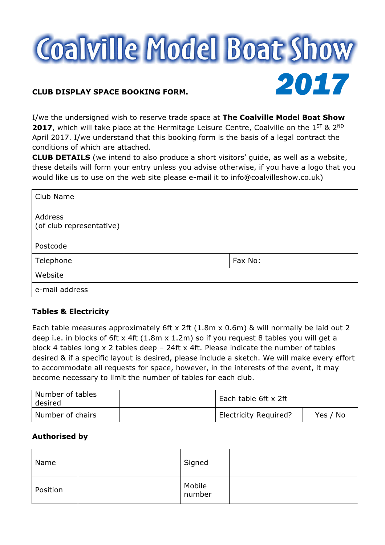

I/we the undersigned wish to reserve trade space at The Coalville Model Boat Show **2017**, which will take place at the Hermitage Leisure Centre, Coalville on the  $1^{ST}$  &  $2^{ND}$ April 2017. I/we understand that this booking form is the basis of a legal contract the conditions of which are attached.

CLUB DETAILS (we intend to also produce a short visitors' guide, as well as a website, these details will form your entry unless you advise otherwise, if you have a logo that you would like us to use on the web site please e-mail it to info@coalvilleshow.co.uk)

| Club Name                           |         |  |
|-------------------------------------|---------|--|
| Address<br>(of club representative) |         |  |
| Postcode                            |         |  |
| Telephone                           | Fax No: |  |
| Website                             |         |  |
| e-mail address                      |         |  |

# Tables & Electricity

Each table measures approximately 6ft x 2ft (1.8m x 0.6m) & will normally be laid out 2 deep i.e. in blocks of 6ft x 4ft (1.8m x 1.2m) so if you request 8 tables you will get a block 4 tables long x 2 tables deep – 24ft x 4ft. Please indicate the number of tables desired & if a specific layout is desired, please include a sketch. We will make every effort to accommodate all requests for space, however, in the interests of the event, it may become necessary to limit the number of tables for each club.

| Number of tables<br>desired | Each table 6ft x 2ft         |          |
|-----------------------------|------------------------------|----------|
| Number of chairs            | <b>Electricity Required?</b> | Yes / No |

# Authorised by

| Name     | Signed           |  |
|----------|------------------|--|
| Position | Mobile<br>number |  |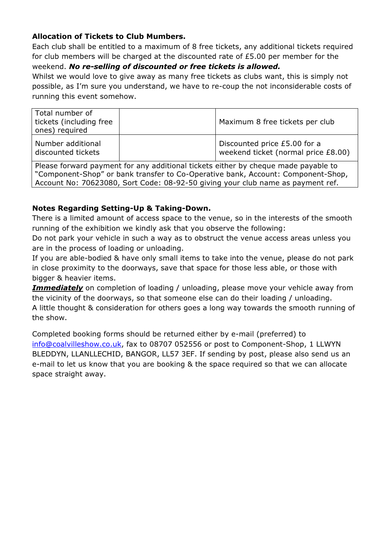# Allocation of Tickets to Club Mumbers.

Each club shall be entitled to a maximum of 8 free tickets, any additional tickets required for club members will be charged at the discounted rate of £5.00 per member for the weekend. No re-selling of discounted or free tickets is allowed.

Whilst we would love to give away as many free tickets as clubs want, this is simply not possible, as I'm sure you understand, we have to re-coup the not inconsiderable costs of running this event somehow.

| Total number of<br>tickets (including free<br>ones) required | Maximum 8 free tickets per club                                     |
|--------------------------------------------------------------|---------------------------------------------------------------------|
| Number additional<br>discounted tickets                      | Discounted price £5.00 for a<br>weekend ticket (normal price £8.00) |

Please forward payment for any additional tickets either by cheque made payable to "Component-Shop" or bank transfer to Co-Operative bank, Account: Component-Shop, Account No: 70623080, Sort Code: 08-92-50 giving your club name as payment ref.

# Notes Regarding Setting-Up & Taking-Down.

There is a limited amount of access space to the venue, so in the interests of the smooth running of the exhibition we kindly ask that you observe the following:

Do not park your vehicle in such a way as to obstruct the venue access areas unless you are in the process of loading or unloading.

If you are able-bodied & have only small items to take into the venue, please do not park in close proximity to the doorways, save that space for those less able, or those with bigger & heavier items.

**Immediately** on completion of loading / unloading, please move your vehicle away from the vicinity of the doorways, so that someone else can do their loading / unloading. A little thought & consideration for others goes a long way towards the smooth running of the show.

Completed booking forms should be returned either by e-mail (preferred) to info@coalvilleshow.co.uk, fax to 08707 052556 or post to Component-Shop, 1 LLWYN BLEDDYN, LLANLLECHID, BANGOR, LL57 3EF. If sending by post, please also send us an e-mail to let us know that you are booking & the space required so that we can allocate space straight away.